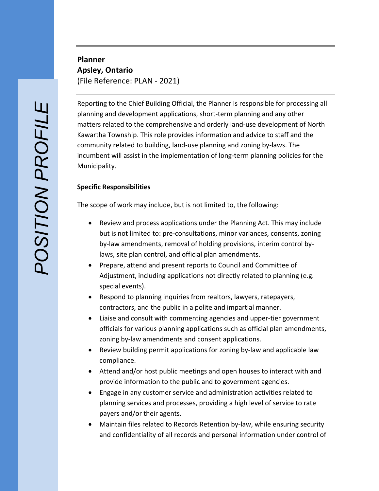**Planner Apsley, Ontario** (File Reference: PLAN - 2021)

Reporting to the Chief Building Official, the Planner is responsible for processing all planning and development applications, short -term planning and any other matters related to the comprehensive and orderly land -use development of North Kawartha Township. This role provides information and advice to staff and the community related to building, land -use planning and zoning by -laws. The incumbent will assist in the implementation of long -term planning policies for the Municipality.

## **Specific Responsibilities**

The scope of work may include, but is not limited to, the following:

- Review and process applications under the Planning Act. This may include but is not limited to: pre-consultations, minor variances, consents, zoning by-law amendments, removal of holding provisions, interim control by laws, site plan control, and official plan amendments .
- Prepare, attend and present reports to Council and Committee of Adjustment, including applications not directly related to planning (e.g. special events).
- Respond to planning inquiries from realtors, lawyers, ratepayers, contractors, and the public in a polite and impartial manner.
- Liaise and consult with commenting agencies and upper -tier government officials for various planning applications such as official plan amendments, zoning by -law amendments and consent applications.
- Review building permit applications for zoning by -law and applicable law compliance.
- Attend and/or host public meetings and open houses to interact with and provide information to the public and to government agencies.
- Engage in any customer service and administration activities related to planning services and processes, providing a high level of service to rate payers and/or their agents.
- Maintain files related to Records Retention by-law, while ensuring security and confidentiality of all records and personal information under control of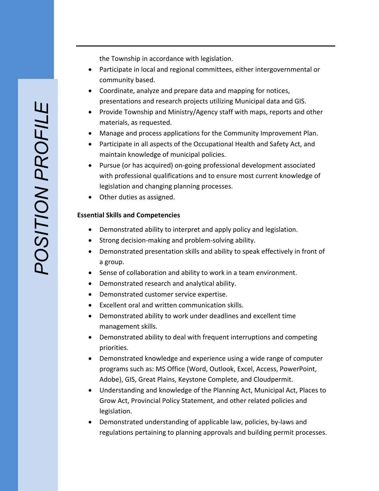the Township in accordance with legislation.

- Participate in local and regional committees, either intergovernmental or community based.
- Coordinate, analyze and prepare data and mapping for notices, presentations and research projects utilizing Municipal data and GIS.
- Provide Township and Ministry/Agency staff with maps, reports and other materials, as requested.
- Manage and process applications for the Community Improvement Plan.
- Participate in all aspects of the Occupational Health and Safety Act, and maintain knowledge of municipal policies.
- Pursue (or has acquired) on-going professional development associated with professional qualifications and to ensure most current knowledge of legislation and changing planning processes.
- Other duties as assigned.

## **Essential Skills and Competencies**

- Demonstrated ability to interpret and apply policy and legislation .
- Strong decision-making and problem-solving ability.
- Demonstrated presentation skills and ability to speak effectively in front of a group .
- Sense of collaboration and ability to work in a team environment .
- Demonstrated research and analytical ability .
- Demonstrated customer service expertise .
- Excellent oral and written communication skills.
- Demonstrated ability to work under deadlines and excellent time management skills .
- Demonstrated ability to deal with frequent interruptions and competing priorities .
- Demonstrated knowledge and experience using a wide range of computer programs such as: MS Office (Word, Outlook, Excel, Access, PowerPoint, Adobe), GIS, Great Plains, Keystone Complete, and Cloudpermit.
- Understanding and knowledge of the Planning Act, Municipal Act, Places to Grow Act, Provincial Policy Statement, and other related policies and legislation.
- Demonstrated understanding of applicable law, policies, by -laws and regulations pertaining to planning approvals and building permit processes.